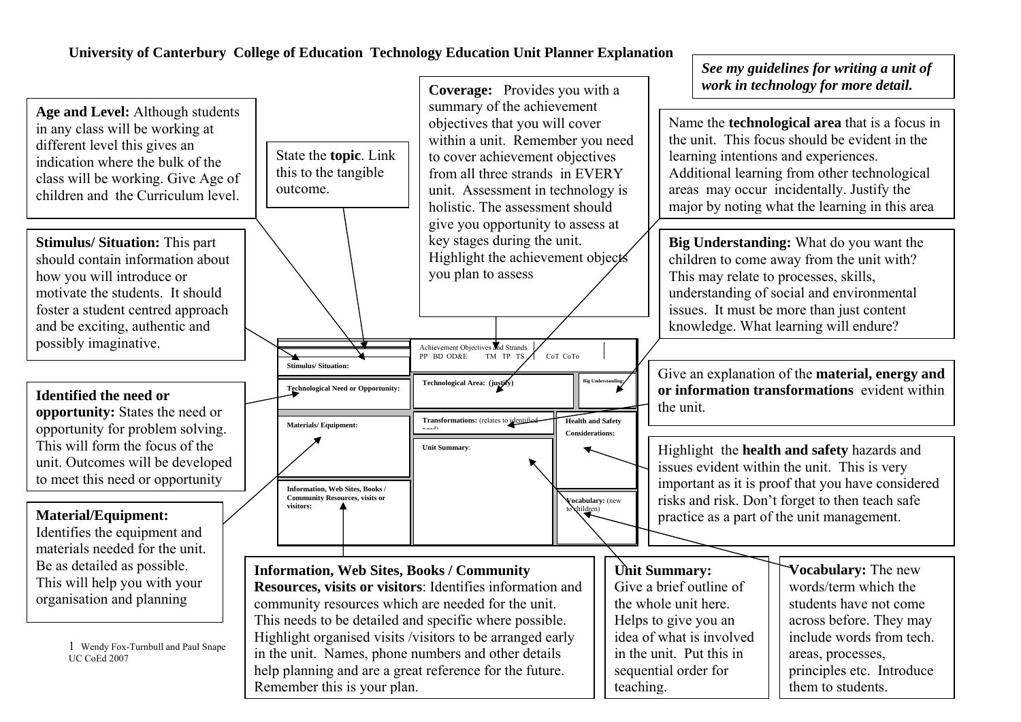### **University of Canterbury College of Education Technology Education Unit Planner Explanation**

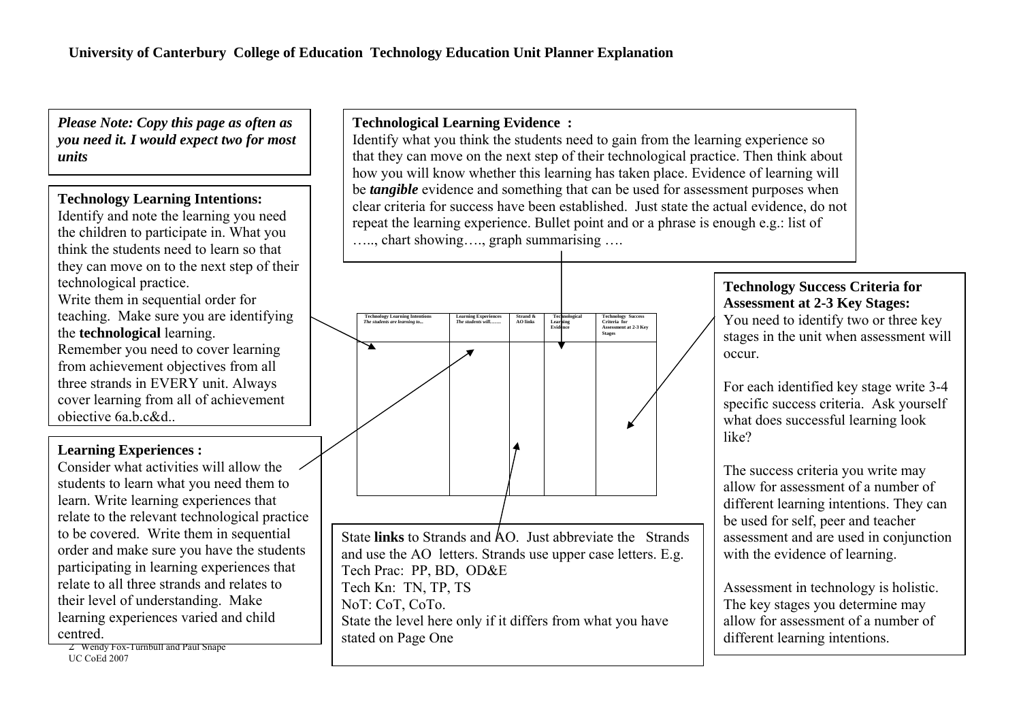*Please Note: Copy this page as often as you need it. I would expect two for most units* 

## **Technology Learning Intentions:**

Identify and note the learning you need the children to participate in. What you think the students need to learn so that they can move on to the next step of their technological practice. Write them in sequential order for teaching. Make sure you are identifying the **technological** learning. Remember you need to cover learning from achievement objectives from all three strands in EVERY unit. Always cover learning from all of achievement objective 6a,b,c&d...

### **Learning Experiences :**

Consider what activities will allow the students to learn what you need them to learn. Write learning experiences that relate to the relevant technological practice to be covered. Write them in sequential order and make sure you have the students participating in learning experiences that relate to all three strands and relates to their level of understanding. Make learning experiences varied and child centred.

2 Wendy Fox-Turnbull and Paul Snape UC CoEd 2007

# **Technological Learning Evidence :**

Identify what you think the students need to gain from the learning experience so that they can move on the next step of their technological practice. Then think about how you will know whether this learning has taken place. Evidence of learning will be *tangible* evidence and something that can be used for assessment purposes when clear criteria for success have been established. Just state the actual evidence, do not repeat the learning experience. Bullet point and or a phrase is enough e.g.: list of ….., chart showing…., graph summarising ….



State **links** to Strands and AO. Just abbreviate the Strands and use the AO letters. Strands use upper case letters. E.g. Tech Prac: PP, BD, OD&E Tech Kn: TN, TP, TS NoT: CoT, CoTo. State the level here only if it differs from what you have stated on Page One

# **Technology Success Criteria for Assessment at 2-3 Key Stages:**

You need to identify two or three key stages in the unit when assessment will occur.

For each identified key stage write 3-4 specific success criteria. Ask yourself what does successful learning look like?

The success criteria you write may allow for assessment of a number of different learning intentions. They can be used for self, peer and teacher assessment and are used in conjunction with the evidence of learning.

Assessment in technology is holistic. The key stages you determine may allow for assessment of a number of different learning intentions.